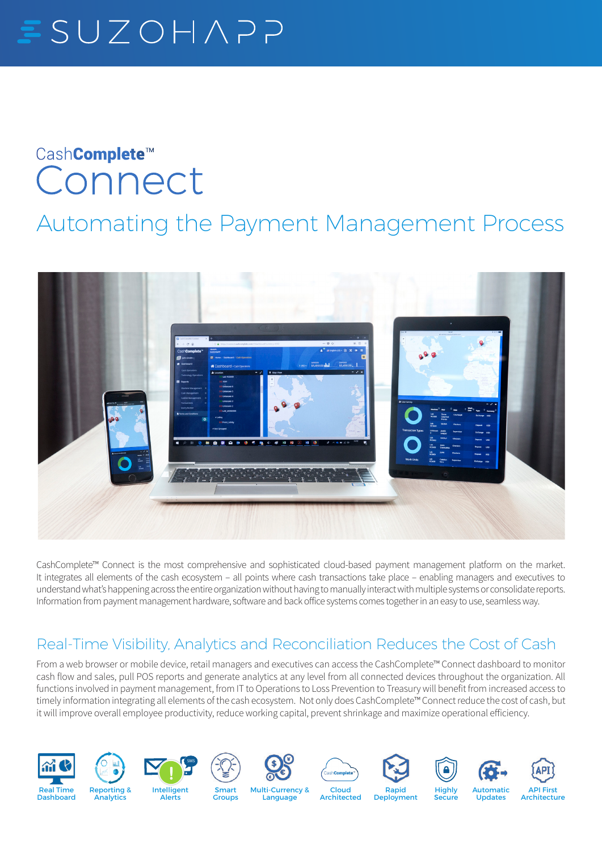# $SUEOHAP$

## Cash**Complete**™ Connect

### Automating the Payment Management Process



CashComplete™ Connect is the most comprehensive and sophisticated cloud-based payment management platform on the market. It integrates all elements of the cash ecosystem – all points where cash transactions take place – enabling managers and executives to understand what's happening across the entire organization without having to manually interact with multiple systems or consolidate reports. Information from payment management hardware, software and back office systems comes together in an easy to use, seamless way.

#### Real-Time Visibility, Analytics and Reconciliation Reduces the Cost of Cash

From a web browser or mobile device, retail managers and executives can access the CashComplete™ Connect dashboard to monitor cash flow and sales, pull POS reports and generate analytics at any level from all connected devices throughout the organization. All functions involved in payment management, from IT to Operations to Loss Prevention to Treasury will benefit from increased access to timely information integrating all elements of the cash ecosystem. Not only does CashComplete™ Connect reduce the cost of cash, but it will improve overall employee productivity, reduce working capital, prevent shrinkage and maximize operational efficiency.





**Analytics** 











Secure



Updates



**Groups** Multi-Currency & **Language** 

Cloud Architected Deployment